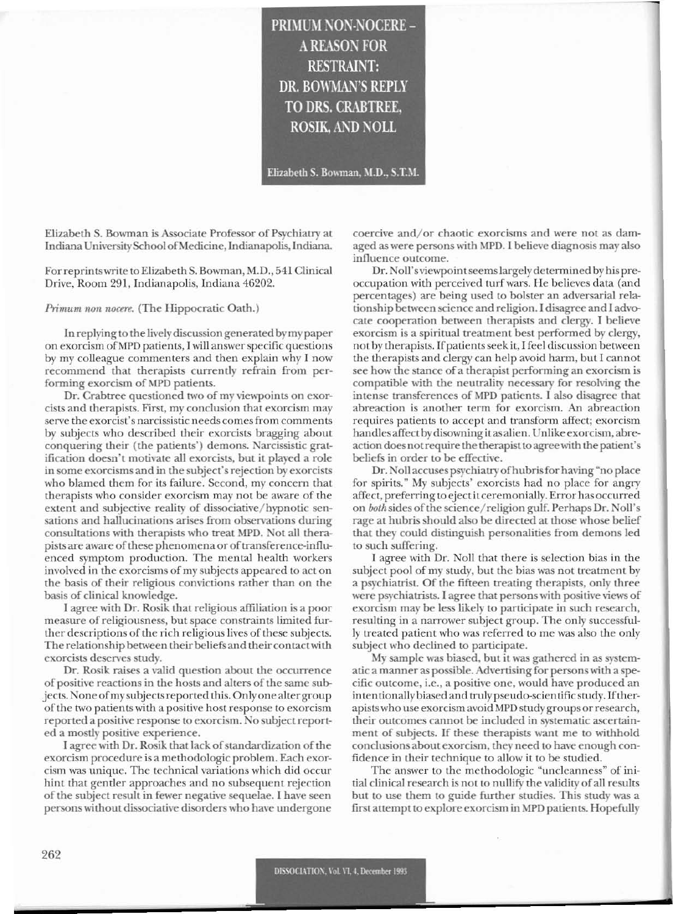PRIMUM NON-NOCERE -**A REASON FOR RESTRAINT:** DR. BOWMAN'S REPLY TO DRS. CRABTREE, **ROSIK. AND NOLL** 

Elizabeth S. Bowman, M.D., S.T.M.

Elizabeth S. Bowman is Associate Professor of Psychiatry at Indiana University School of Medicine, Indianapolis, Indiana.

For reprints write to Elizabeth S. Bowman, M.D., 541 Clinical Drive, Room 291, Indianapolis, Indiana 46202.

Primum non nocere. (The Hippocratic Oath.)

In replying to the lively discussion generated by my paper on exorcism of MPD patients, I will answer specific questions by my colleague commenters and then explain why I now recommend that therapists currently refrain from performing exorcism of MPD patients.

Dr. Crabtree questioned two of my viewpoints on exorcists and therapists. First, my conclusion that exorcism may serve the exorcist's narcissistic needs comes from comments by subjects who described their exorcists bragging about conquering their (the patients') demons. Narcissistic gratification doesn't motivate all exorcists, but it played a role in some exorcisms and in the subject's rejection by exorcists who blamed them for its failure. Second, my concern that therapists who consider exorcism may not be aware of the extent and subjective reality of dissociative/hypnotic sensations and hallucinations arises from observations during consultations with therapists who treat MPD. Not all therapists are aware of these phenomena or of transference-influenced symptom production. The mental health workers involved in the exorcisms of my subjects appeared to act on the basis of their religious convictions rather than on the basis of clinical knowledge.

I agree with Dr. Rosik that religious affiliation is a poor measure of religiousness, but space constraints limited further descriptions of the rich religious lives of these subjects. The relationship between their beliefs and their contact with exorcists deserves study.

Dr. Rosik raises a valid question about the occurrence of positive reactions in the hosts and alters of the same subjects. None of my subjects reported this. Only one alter group of the two patients with a positive host response to exorcism reported a positive response to exorcism. No subject reported a mostly positive experience.

I agree with Dr. Rosik that lack of standardization of the exorcism procedure is a methodologic problem. Each exorcism was unique. The technical variations which did occur hint that gentler approaches and no subsequent rejection of the subject result in fewer negative sequelae. I have seen persons without dissociative disorders who have undergone coercive and/or chaotic exorcisms and were not as damaged as were persons with MPD. I believe diagnosis may also influence outcome.

Dr. Noll's viewpoint seems largely determined by his preoccupation with perceived turf wars. He believes data (and percentages) are being used to bolster an adversarial relationship between science and religion. I disagree and I advocate cooperation between therapists and clergy. I believe exorcism is a spiritual treatment best performed by clergy, not by therapists. If patients seek it, I feel discussion between the therapists and clergy can help avoid harm, but I cannot see how the stance of a therapist performing an exorcism is compatible with the neutrality necessary for resolving the intense transferences of MPD patients. I also disagree that abreaction is another term for exorcism. An abreaction requires patients to accept and transform affect; exorcism handles affect by disowning it as alien. Unlike exorcism, abreaction does not require the therapist to agree with the patient's beliefs in order to be effective.

Dr. Noll accuses psychiatry of hubris for having "no place for spirits." My subjects' exorcists had no place for angry affect, preferring to eject it ceremonially. Error has occurred on both sides of the science/religion gulf. Perhaps Dr. Noll's rage at hubris should also be directed at those whose belief that they could distinguish personalities from demons led to such suffering.

I agree with Dr. Noll that there is selection bias in the subject pool of my study, but the bias was not treatment by a psychiatrist. Of the fifteen treating therapists, only three were psychiatrists. I agree that persons with positive views of exorcism may be less likely to participate in such research, resulting in a narrower subject group. The only successfully treated patient who was referred to me was also the only subject who declined to participate.

My sample was biased, but it was gathered in as systematic a manner as possible. Advertising for persons with a specific outcome, i.e., a positive one, would have produced an intentionally biased and truly pseudo-scientific study. If therapists who use exorcism avoid MPD study groups or research, their outcomes cannot be included in systematic ascertainment of subjects. If these therapists want me to withhold conclusions about exorcism, they need to have enough confidence in their technique to allow it to be studied.

The answer to the methodologic "uncleanness" of initial clinical research is not to nullify the validity of all results but to use them to guide further studies. This study was a first attempt to explore exorcism in MPD patients. Hopefully